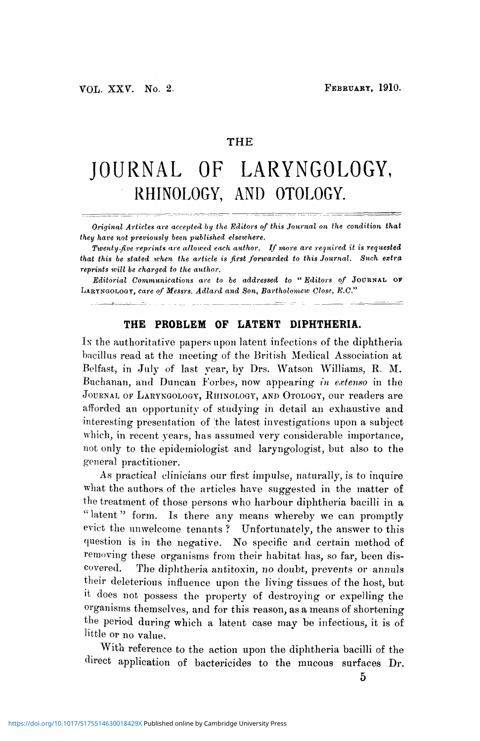## **THE**

## JOURNAL OF LARYNGOLOGY, **RHINOLOGY, AND OTOLOGY.**

*Original Articles are accepted by the Editors of this Journal on the condition that they have not previously been published elsewhere.*

*Twenty-five reprints are allowed each author. If more are required it is requested that this be stated when the article is first forwarded to this Journal. Such extra reprints will be charged to the author.*

*Editorial Communications are to be addressed to* " *Editors of* JOURNAL OF LAKTNGOLOOT, *care of Messrs. Adlard and Son, Bartholomew Close, E.C."*

<u>.</u><br>Albert Constitution of the contract of the constitution of the constitution of the constitution of the constitu

## **THE PROBLEM OF LATENT DIPHTHERIA.**

IN the authoritative papers upon latent infections of the diphtheria bacillus read at the meeting of the British Medical Association at Belfast, in July of last year, by Drs. Watson Williams, R. M. Buchanan, and Duncan Forbes, now appearing in extenso in the JOURNAL OP LARYNGOLOGY, RHINOLOGY, AND OTOLOGY, our readers are afforded an opportunity of studying in detail an exhaustive and interesting presentation of the latest investigations upon a subject which, in recent years, has assumed very considerable importance, not only to the epidemiologist and laryngologist, but also to the general practitioner.

As practical clinicians our first impulse, naturally, is to inquire what the authors of the articles have suggested in the matter of the treatment of those persons who harbour diphtheria bacilli in a " latent" form. Is there any means whereby we can promptly evict the unwelcome tenants ? Unfortunately, the answer to this question is in the negative. No specific and certain method of removing these organisms from their habitat has, so far, been discovered. The diphtheria antitoxin, no doubt, prevents or annuls their deleterious influence upon the living tissues of the host, but it does not possess the property of destroying or expelling the organisms themselves, and for this reason, as a means of shortening the period during which a latent case may be infectious, it is of little or no value.

With reference to the action upon the diphtheria bacilli of the direct application of bactericides to the mucous surfaces Dr.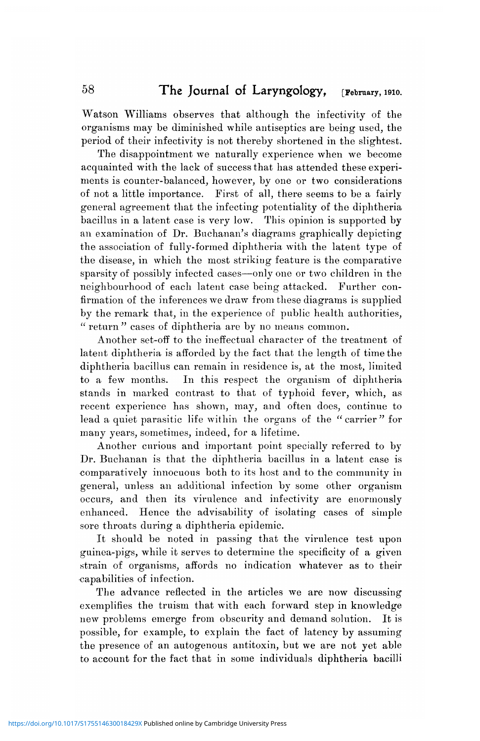Watson Williams observes that although the infectivity of the ' organisms may be diminished while antiseptics are being used, the period of their infectivity is not thereby shortened in the slightest.

The disappointment we naturally experience when we become acquainted with the lack of success that has attended these experiments is counter-balanced, however, by one or two considerations of not a little importance. First of all, there seems to be a fairly general agreement that the infecting potentiality of the diphtheria bacillus in a latent case is very low. This opinion is supported by an examination of Dr. Buchanan's diagrams graphically depicting the association of fully-formed diphtheria with the latent type of the disease, in which the most striking feature is the comparative sparsity of possibly infected cases—only one or two children in the neighbourhood of each latent case being attacked. Further confirmation of the inferences we draw from these diagrams is supplied by the remark that, in the experience of public health authorities, " return" cases of diphtheria are by no means common.

I Another set-off to the ineffectual character of the treatment of latent diphtheria is afforded by the fact that the length of time the diphtheria bacillus can remain in residence is, at the most, limited to a few months. In this respect the organism of diphtheria stands in marked contrast to that of typhoid fever, which, as recent experience has shown, may, and often does, continue to lead a quiet parasitic life within the organs of the "carrier" for many years, sometimes, indeed, for a lifetime.

: Another curious and important point specially referred to by Dr. Buchanan is that the diphtheria bacillus in a latent case is comparatively innocuous both to its host and to the community in general, unless an additional infection by some other organism occurs, and then its virulence and infectivity are enormously enhanced. Hence the advisability of isolating cases of simple sore throats during a diphtheria epidemic.

It should be noted in passing that the virulence test upon •4 guinea-pigs, while it serves to determine the specificity of a given • strain of organisms, affords no indication whatever as to their capabilities of infection.

The advance reflected in the articles we are now discussing exemplifies the truism that with each forward step in knowledge new problems emerge from obscurity and demand solution. It is possible, for example, to explain the fact of latency by assuming the presence of an autogenous antitoxin, but we are not yet able to account for the fact that in some individuals diphtheria bacilli